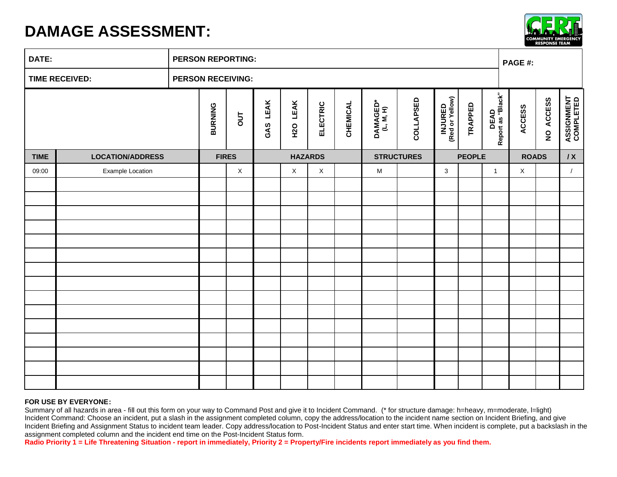## **DAMAGE ASSESSMENT:**



| DATE:                 |                         |  | <b>PERSON REPORTING:</b> |              |             |                |             |                 |                                                                                       |           |                                   |                |                                  |             | PAGE #:   |                                |  |  |
|-----------------------|-------------------------|--|--------------------------|--------------|-------------|----------------|-------------|-----------------|---------------------------------------------------------------------------------------|-----------|-----------------------------------|----------------|----------------------------------|-------------|-----------|--------------------------------|--|--|
| <b>TIME RECEIVED:</b> |                         |  | <b>PERSON RECEIVING:</b> |              |             |                |             |                 |                                                                                       |           |                                   |                |                                  |             |           |                                |  |  |
|                       |                         |  | <b>BURNING</b>           | <b>TUO</b>   | LEAK<br>GAS | H2O LEAK       | ELECTRIC    | <b>CHEMICAL</b> | DAMAGED*<br>(L, M, H)                                                                 | COLLAPSED | <b>INJURED</b><br>(Red or Yellow) | <b>TRAPPED</b> | <b>DEAD</b><br>Report as "Black" | ACCESS      | NO ACCESS | <b>ASSIGNMENT</b><br>COMPLETED |  |  |
| <b>TIME</b>           | <b>LOCATION/ADDRESS</b> |  |                          | <b>FIRES</b> |             | <b>HAZARDS</b> |             |                 | <b>STRUCTURES</b>                                                                     |           | <b>PEOPLE</b>                     |                | <b>ROADS</b>                     |             | IX        |                                |  |  |
| 09:00                 | <b>Example Location</b> |  |                          | $\mathsf X$  |             | $\mathsf X$    | $\mathsf X$ |                 | $\mathsf{M}% _{T}=\mathsf{M}_{T}\!\left( a,b\right) ,\ \mathsf{M}_{T}=\mathsf{M}_{T}$ |           | $\mathbf{3}$                      |                | $\mathbf{1}$                     | $\mathsf X$ |           | $\sqrt{2}$                     |  |  |
|                       |                         |  |                          |              |             |                |             |                 |                                                                                       |           |                                   |                |                                  |             |           |                                |  |  |
|                       |                         |  |                          |              |             |                |             |                 |                                                                                       |           |                                   |                |                                  |             |           |                                |  |  |
|                       |                         |  |                          |              |             |                |             |                 |                                                                                       |           |                                   |                |                                  |             |           |                                |  |  |
|                       |                         |  |                          |              |             |                |             |                 |                                                                                       |           |                                   |                |                                  |             |           |                                |  |  |
|                       |                         |  |                          |              |             |                |             |                 |                                                                                       |           |                                   |                |                                  |             |           |                                |  |  |
|                       |                         |  |                          |              |             |                |             |                 |                                                                                       |           |                                   |                |                                  |             |           |                                |  |  |
|                       |                         |  |                          |              |             |                |             |                 |                                                                                       |           |                                   |                |                                  |             |           |                                |  |  |
|                       |                         |  |                          |              |             |                |             |                 |                                                                                       |           |                                   |                |                                  |             |           |                                |  |  |
|                       |                         |  |                          |              |             |                |             |                 |                                                                                       |           |                                   |                |                                  |             |           |                                |  |  |
|                       |                         |  |                          |              |             |                |             |                 |                                                                                       |           |                                   |                |                                  |             |           |                                |  |  |
|                       |                         |  |                          |              |             |                |             |                 |                                                                                       |           |                                   |                |                                  |             |           |                                |  |  |
|                       |                         |  |                          |              |             |                |             |                 |                                                                                       |           |                                   |                |                                  |             |           |                                |  |  |
|                       |                         |  |                          |              |             |                |             |                 |                                                                                       |           |                                   |                |                                  |             |           |                                |  |  |
|                       |                         |  |                          |              |             |                |             |                 |                                                                                       |           |                                   |                |                                  |             |           |                                |  |  |

## **FOR USE BY EVERYONE:**

Summary of all hazards in area - fill out this form on your way to Command Post and give it to Incident Command. (\* for structure damage: h=heavy, m=moderate, l=light) Incident Command: Choose an incident, put a slash in the assignment completed column, copy the address/location to the incident name section on Incident Briefing, and give Incident Briefing and Assignment Status to incident team leader. Copy address/location to Post-Incident Status and enter start time. When incident is complete, put a backslash in the assignment completed column and the incident end time on the Post-Incident Status form.

**Radio Priority 1 = Life Threatening Situation - report in immediately, Priority 2 = Property/Fire incidents report immediately as you find them.**